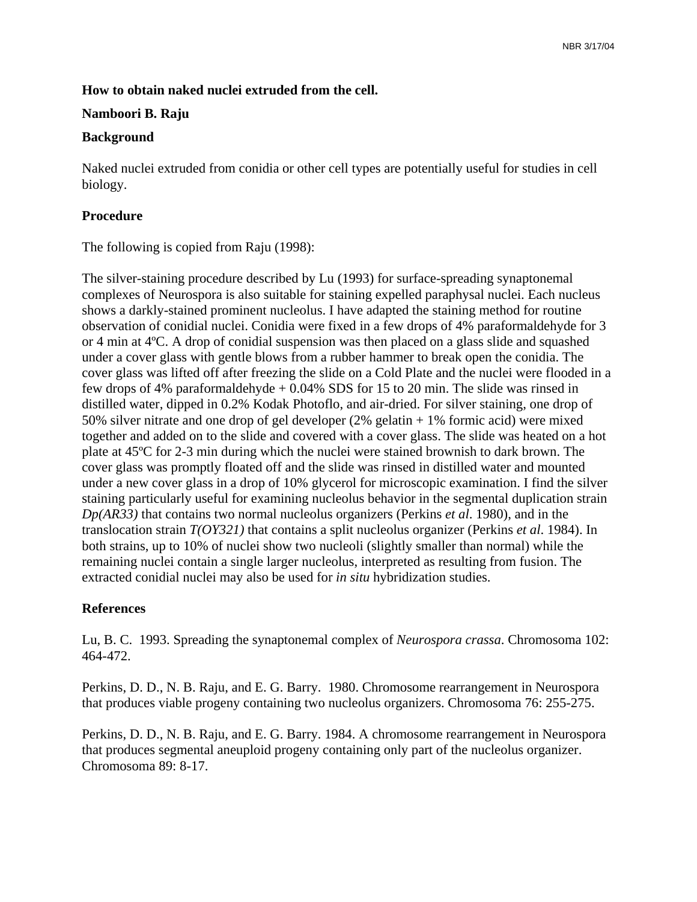# **How to obtain naked nuclei extruded from the cell.**

### **Namboori B. Raju**

#### **Background**

Naked nuclei extruded from conidia or other cell types are potentially useful for studies in cell biology.

# **Procedure**

The following is copied from Raju (1998):

The silver-staining procedure described by Lu (1993) for surface-spreading synaptonemal complexes of Neurospora is also suitable for staining expelled paraphysal nuclei. Each nucleus shows a darkly-stained prominent nucleolus. I have adapted the staining method for routine observation of conidial nuclei. Conidia were fixed in a few drops of 4% paraformaldehyde for 3 or 4 min at 4ºC. A drop of conidial suspension was then placed on a glass slide and squashed under a cover glass with gentle blows from a rubber hammer to break open the conidia. The cover glass was lifted off after freezing the slide on a Cold Plate and the nuclei were flooded in a few drops of 4% paraformaldehyde + 0.04% SDS for 15 to 20 min. The slide was rinsed in distilled water, dipped in 0.2% Kodak Photoflo, and air-dried. For silver staining, one drop of 50% silver nitrate and one drop of gel developer (2% gelatin + 1% formic acid) were mixed together and added on to the slide and covered with a cover glass. The slide was heated on a hot plate at 45ºC for 2-3 min during which the nuclei were stained brownish to dark brown. The cover glass was promptly floated off and the slide was rinsed in distilled water and mounted under a new cover glass in a drop of 10% glycerol for microscopic examination. I find the silver staining particularly useful for examining nucleolus behavior in the segmental duplication strain *Dp(AR33)* that contains two normal nucleolus organizers (Perkins *et al*. 1980), and in the translocation strain *T(OY321)* that contains a split nucleolus organizer (Perkins *et al*. 1984). In both strains, up to 10% of nuclei show two nucleoli (slightly smaller than normal) while the remaining nuclei contain a single larger nucleolus, interpreted as resulting from fusion. The extracted conidial nuclei may also be used for *in situ* hybridization studies.

### **References**

Lu, B. C. 1993. Spreading the synaptonemal complex of *Neurospora crassa*. Chromosoma 102: 464-472.

Perkins, D. D., N. B. Raju, and E. G. Barry. 1980. Chromosome rearrangement in Neurospora that produces viable progeny containing two nucleolus organizers. Chromosoma 76: 255-275.

Perkins, D. D., N. B. Raju, and E. G. Barry. 1984. A chromosome rearrangement in Neurospora that produces segmental aneuploid progeny containing only part of the nucleolus organizer. Chromosoma 89: 8-17.